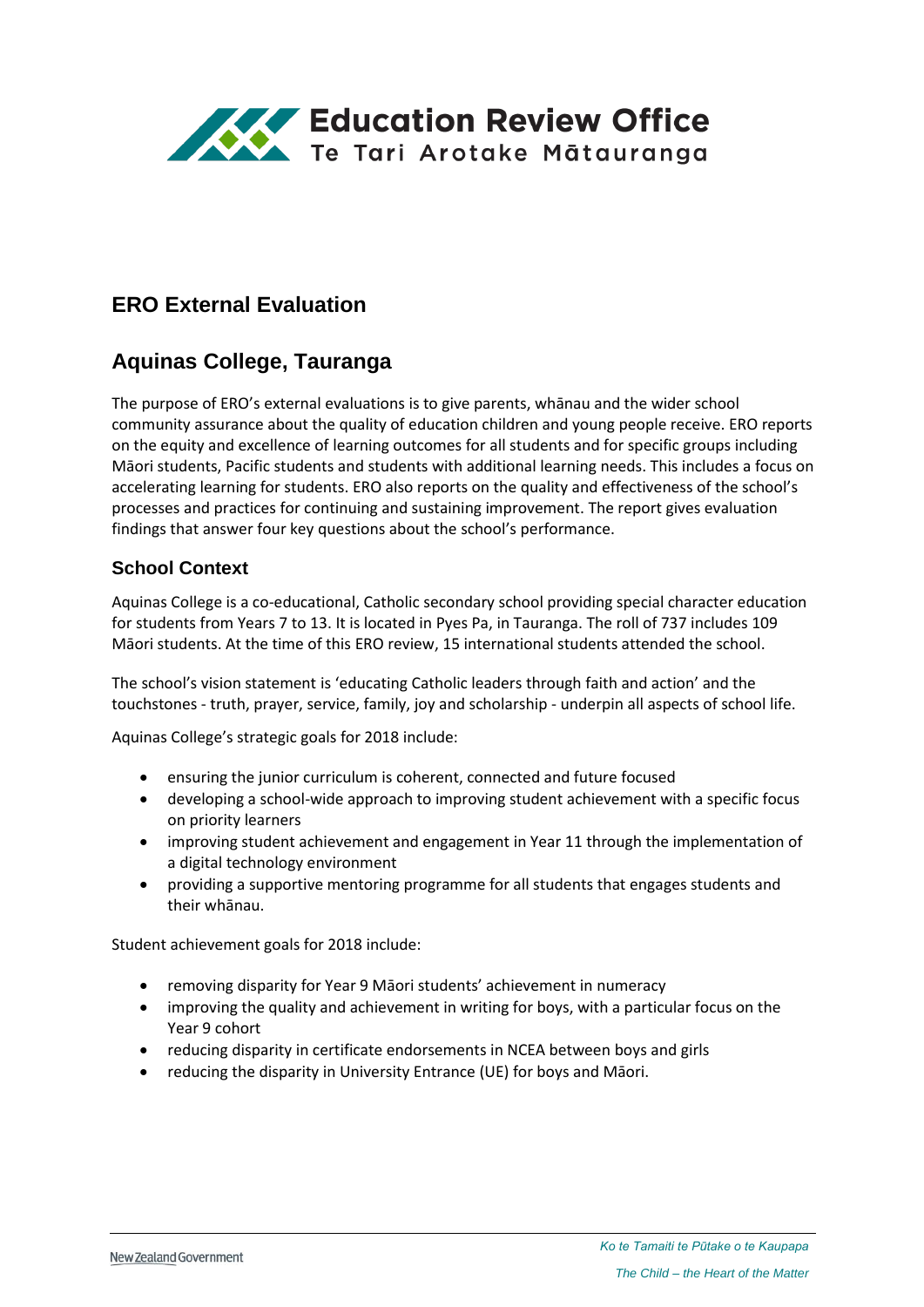

# **ERO External Evaluation**

# **Aquinas College, Tauranga**

The purpose of ERO's external evaluations is to give parents, whānau and the wider school community assurance about the quality of education children and young people receive. ERO reports on the equity and excellence of learning outcomes for all students and for specific groups including Māori students, Pacific students and students with additional learning needs. This includes a focus on accelerating learning for students. ERO also reports on the quality and effectiveness of the school's processes and practices for continuing and sustaining improvement. The report gives evaluation findings that answer four key questions about the school's performance.

### **School Context**

Aquinas College is a co-educational, Catholic secondary school providing special character education for students from Years 7 to 13. It is located in Pyes Pa, in Tauranga. The roll of 737 includes 109 Māori students. At the time of this ERO review, 15 international students attended the school.

The school's vision statement is 'educating Catholic leaders through faith and action' and the touchstones - truth, prayer, service, family, joy and scholarship - underpin all aspects of school life.

Aquinas College's strategic goals for 2018 include:

- ensuring the junior curriculum is coherent, connected and future focused
- developing a school-wide approach to improving student achievement with a specific focus on priority learners
- improving student achievement and engagement in Year 11 through the implementation of a digital technology environment
- providing a supportive mentoring programme for all students that engages students and their whānau.

Student achievement goals for 2018 include:

- removing disparity for Year 9 Māori students' achievement in numeracy
- improving the quality and achievement in writing for boys, with a particular focus on the Year 9 cohort
- reducing disparity in certificate endorsements in NCEA between boys and girls
- reducing the disparity in University Entrance (UE) for boys and Māori.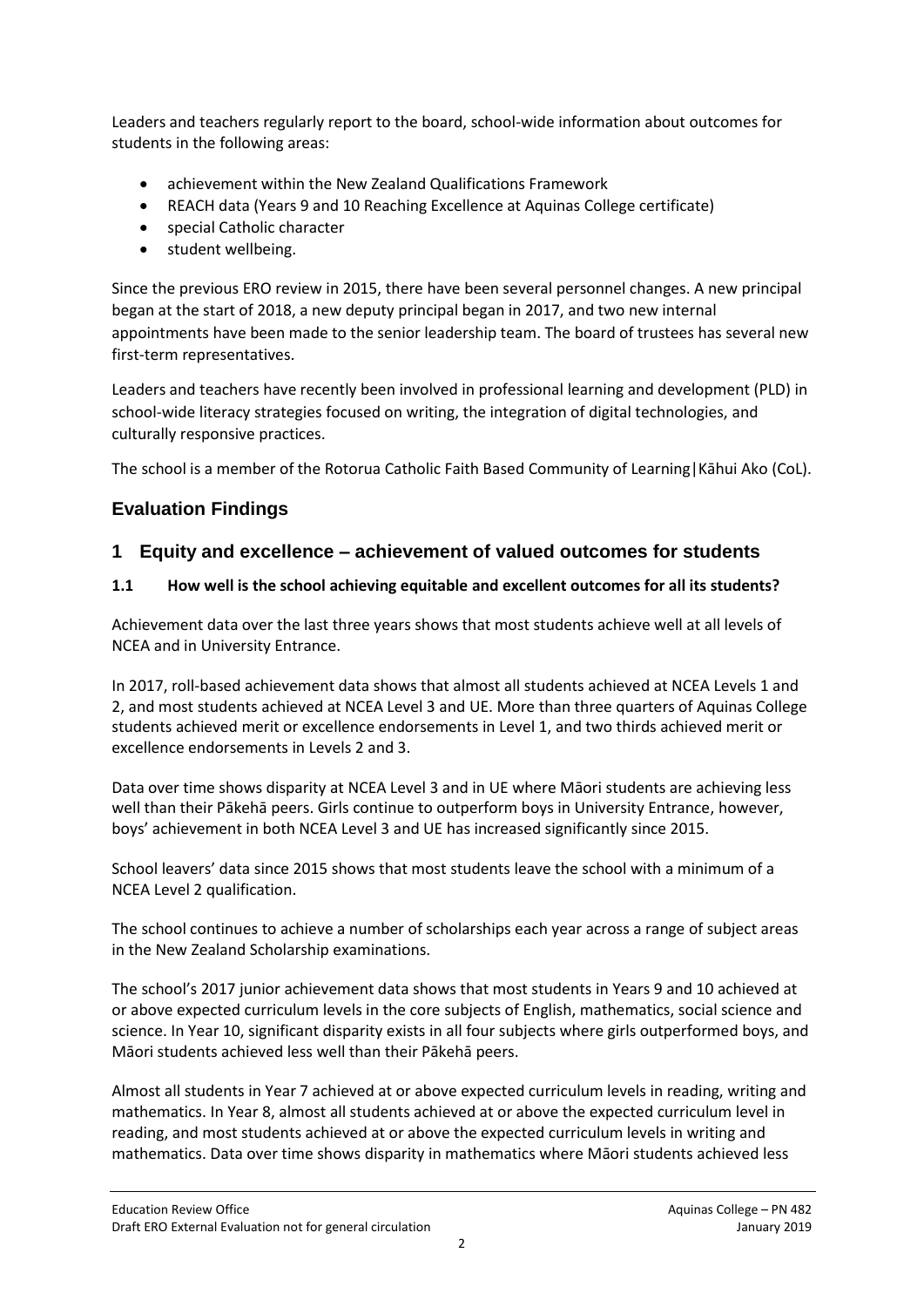Leaders and teachers regularly report to the board, school-wide information about outcomes for students in the following areas:

- achievement within the New Zealand Qualifications Framework
- REACH data (Years 9 and 10 Reaching Excellence at Aquinas College certificate)
- special Catholic character
- student wellbeing.

Since the previous ERO review in 2015, there have been several personnel changes. A new principal began at the start of 2018, a new deputy principal began in 2017, and two new internal appointments have been made to the senior leadership team. The board of trustees has several new first-term representatives.

Leaders and teachers have recently been involved in professional learning and development (PLD) in school-wide literacy strategies focused on writing, the integration of digital technologies, and culturally responsive practices.

The school is a member of the Rotorua Catholic Faith Based Community of Learning|Kāhui Ako (CoL).

## **Evaluation Findings**

### **1 Equity and excellence – achievement of valued outcomes for students**

#### **1.1 How well is the school achieving equitable and excellent outcomes for all its students?**

Achievement data over the last three years shows that most students achieve well at all levels of NCEA and in University Entrance.

In 2017, roll-based achievement data shows that almost all students achieved at NCEA Levels 1 and 2, and most students achieved at NCEA Level 3 and UE. More than three quarters of Aquinas College students achieved merit or excellence endorsements in Level 1, and two thirds achieved merit or excellence endorsements in Levels 2 and 3.

Data over time shows disparity at NCEA Level 3 and in UE where Māori students are achieving less well than their Pākehā peers. Girls continue to outperform boys in University Entrance, however, boys' achievement in both NCEA Level 3 and UE has increased significantly since 2015.

School leavers' data since 2015 shows that most students leave the school with a minimum of a NCEA Level 2 qualification.

The school continues to achieve a number of scholarships each year across a range of subject areas in the New Zealand Scholarship examinations.

The school's 2017 junior achievement data shows that most students in Years 9 and 10 achieved at or above expected curriculum levels in the core subjects of English, mathematics, social science and science. In Year 10, significant disparity exists in all four subjects where girls outperformed boys, and Māori students achieved less well than their Pākehā peers.

Almost all students in Year 7 achieved at or above expected curriculum levels in reading, writing and mathematics. In Year 8, almost all students achieved at or above the expected curriculum level in reading, and most students achieved at or above the expected curriculum levels in writing and mathematics. Data over time shows disparity in mathematics where Māori students achieved less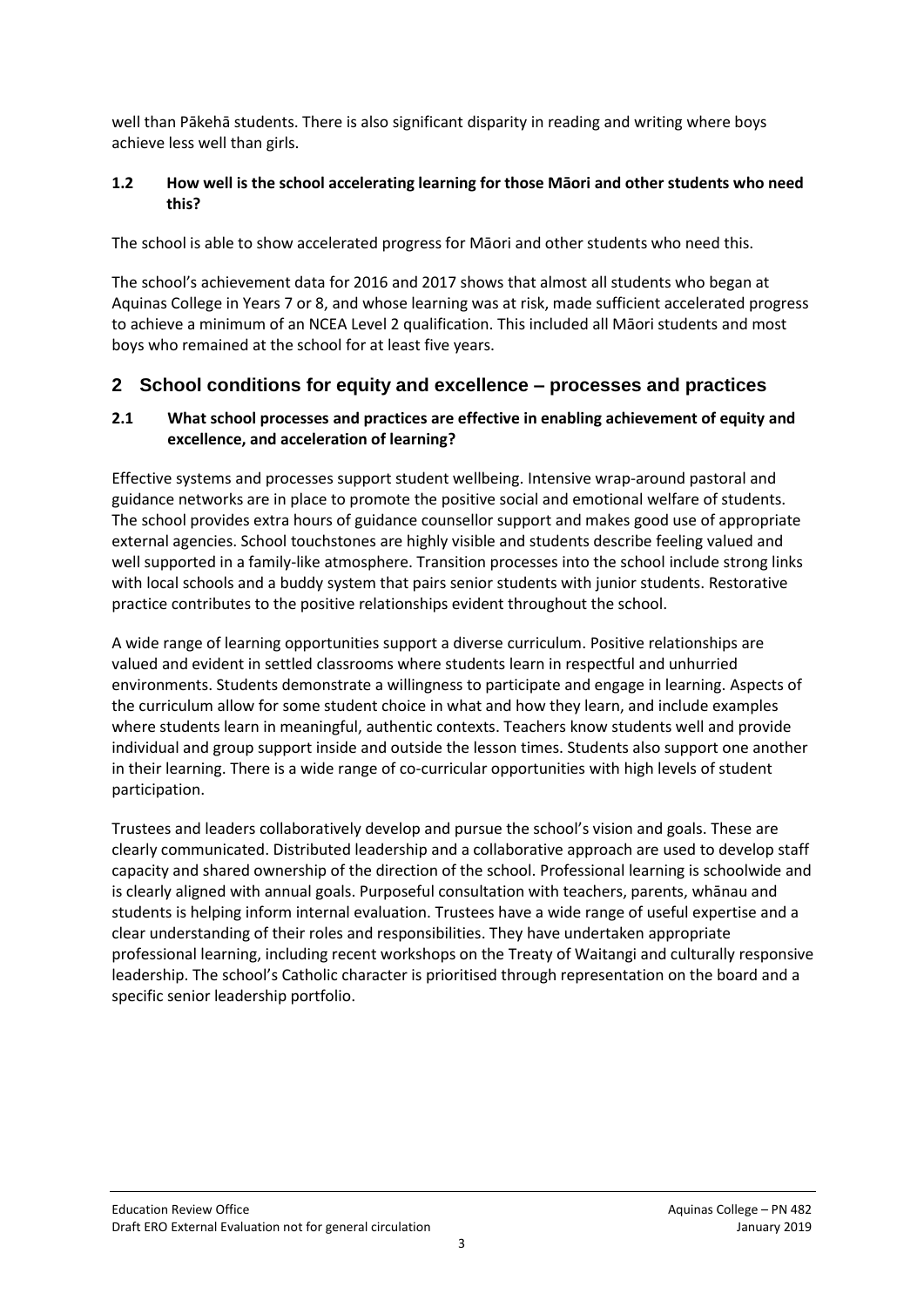well than Pākehā students. There is also significant disparity in reading and writing where boys achieve less well than girls.

#### **1.2 How well is the school accelerating learning for those Māori and other students who need this?**

The school is able to show accelerated progress for Māori and other students who need this.

The school's achievement data for 2016 and 2017 shows that almost all students who began at Aquinas College in Years 7 or 8, and whose learning was at risk, made sufficient accelerated progress to achieve a minimum of an NCEA Level 2 qualification. This included all Māori students and most boys who remained at the school for at least five years.

### **2 School conditions for equity and excellence – processes and practices**

#### **2.1 What school processes and practices are effective in enabling achievement of equity and excellence, and acceleration of learning?**

Effective systems and processes support student wellbeing. Intensive wrap-around pastoral and guidance networks are in place to promote the positive social and emotional welfare of students. The school provides extra hours of guidance counsellor support and makes good use of appropriate external agencies. School touchstones are highly visible and students describe feeling valued and well supported in a family-like atmosphere. Transition processes into the school include strong links with local schools and a buddy system that pairs senior students with junior students. Restorative practice contributes to the positive relationships evident throughout the school.

A wide range of learning opportunities support a diverse curriculum. Positive relationships are valued and evident in settled classrooms where students learn in respectful and unhurried environments. Students demonstrate a willingness to participate and engage in learning. Aspects of the curriculum allow for some student choice in what and how they learn, and include examples where students learn in meaningful, authentic contexts. Teachers know students well and provide individual and group support inside and outside the lesson times. Students also support one another in their learning. There is a wide range of co-curricular opportunities with high levels of student participation.

Trustees and leaders collaboratively develop and pursue the school's vision and goals. These are clearly communicated. Distributed leadership and a collaborative approach are used to develop staff capacity and shared ownership of the direction of the school. Professional learning is schoolwide and is clearly aligned with annual goals. Purposeful consultation with teachers, parents, whānau and students is helping inform internal evaluation. Trustees have a wide range of useful expertise and a clear understanding of their roles and responsibilities. They have undertaken appropriate professional learning, including recent workshops on the Treaty of Waitangi and culturally responsive leadership. The school's Catholic character is prioritised through representation on the board and a specific senior leadership portfolio.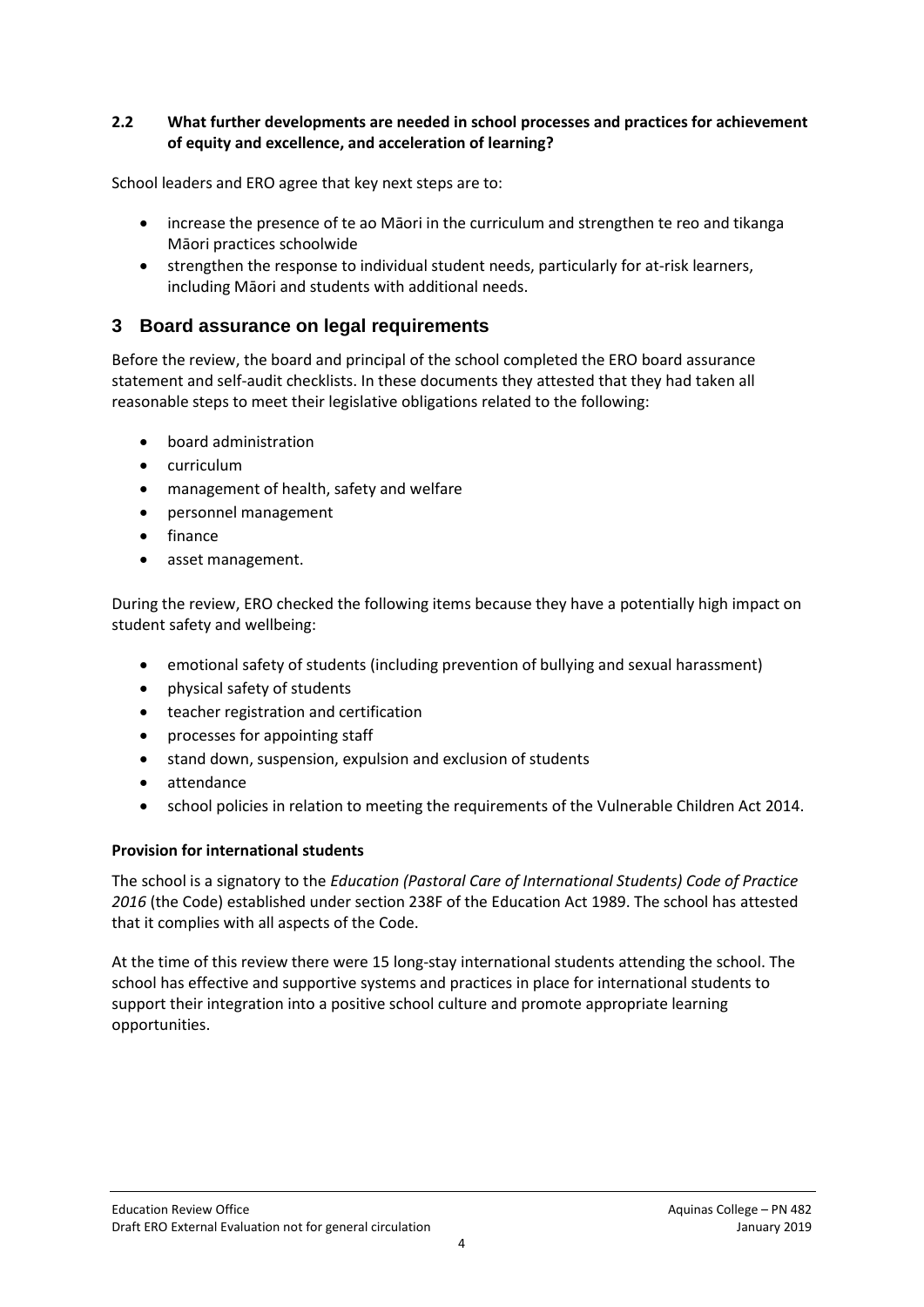#### **2.2 What further developments are needed in school processes and practices for achievement of equity and excellence, and acceleration of learning?**

School leaders and ERO agree that key next steps are to:

- increase the presence of te ao Māori in the curriculum and strengthen te reo and tikanga Māori practices schoolwide
- strengthen the response to individual student needs, particularly for at-risk learners, including Māori and students with additional needs.

### **3 Board assurance on legal requirements**

Before the review, the board and principal of the school completed the ERO board assurance statement and self-audit checklists. In these documents they attested that they had taken all reasonable steps to meet their legislative obligations related to the following:

- board administration
- curriculum
- management of health, safety and welfare
- personnel management
- finance
- asset management.

During the review, ERO checked the following items because they have a potentially high impact on student safety and wellbeing:

- emotional safety of students (including prevention of bullying and sexual harassment)
- physical safety of students
- teacher registration and certification
- processes for appointing staff
- stand down, suspension, expulsion and exclusion of students
- attendance
- school policies in relation to meeting the requirements of the Vulnerable Children Act 2014.

#### **Provision for international students**

The school is a signatory to the *Education (Pastoral Care of International Students) Code of Practice 2016* (the Code) established under section 238F of the Education Act 1989. The school has attested that it complies with all aspects of the Code.

At the time of this review there were 15 long-stay international students attending the school. The school has effective and supportive systems and practices in place for international students to support their integration into a positive school culture and promote appropriate learning opportunities.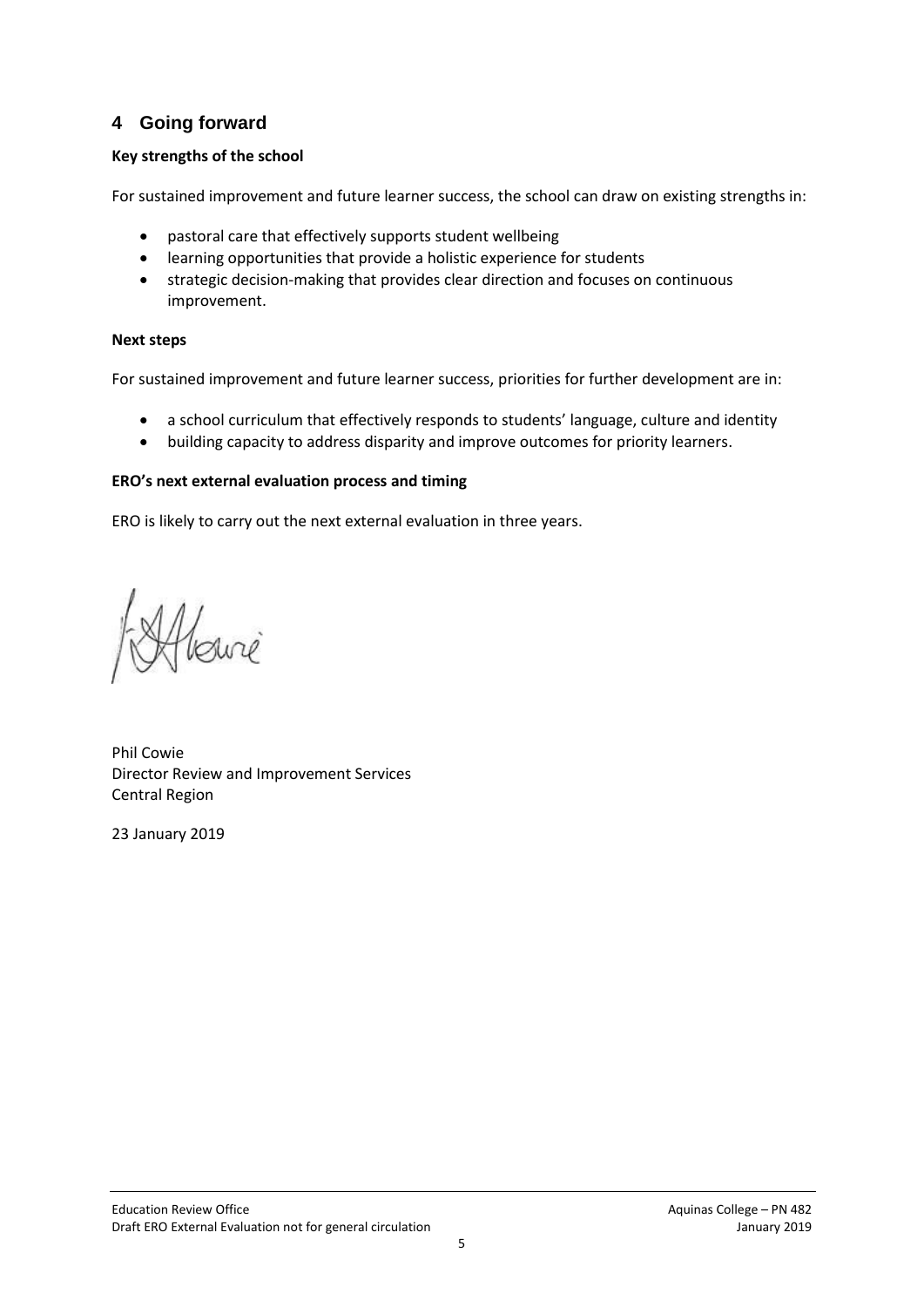## **4 Going forward**

#### **Key strengths of the school**

For sustained improvement and future learner success, the school can draw on existing strengths in:

- pastoral care that effectively supports student wellbeing
- learning opportunities that provide a holistic experience for students
- strategic decision-making that provides clear direction and focuses on continuous improvement.

#### **Next steps**

For sustained improvement and future learner success, priorities for further development are in:

- a school curriculum that effectively responds to students' language, culture and identity
- building capacity to address disparity and improve outcomes for priority learners.

#### **ERO's next external evaluation process and timing**

ERO is likely to carry out the next external evaluation in three years.

Jewie

Phil Cowie Director Review and Improvement Services Central Region

23 January 2019